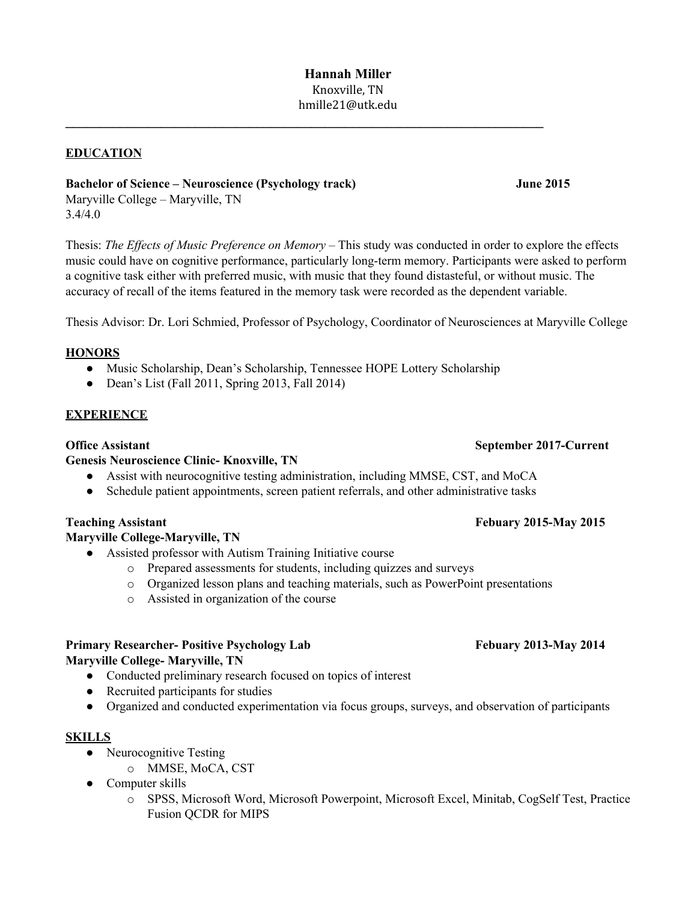**\_\_\_\_\_\_\_\_\_\_\_\_\_\_\_\_\_\_\_\_\_\_\_\_\_\_\_\_\_\_\_\_\_\_\_\_\_\_\_\_\_\_\_\_\_\_\_\_\_\_\_\_\_\_\_\_\_\_\_\_\_\_\_\_\_\_\_\_\_\_**

## **EDUCATION**

## **Bachelor of Science – Neuroscience (Psychology track) June 2015**

Maryville College – Maryville, TN 3.4/4.0

Thesis: *The Ef ects of Music Preference on Memory –* This study was conducted in order to explore the effects music could have on cognitive performance, particularly long-term memory. Participants were asked to perform a cognitive task either with preferred music, with music that they found distasteful, or without music. The accuracy of recall of the items featured in the memory task were recorded as the dependent variable.

Thesis Advisor: Dr. Lori Schmied, Professor of Psychology, Coordinator of Neurosciences at Maryville College

### **HONORS**

- Music Scholarship, Dean's Scholarship, Tennessee HOPE Lottery Scholarship
- $\bullet$  Dean's List (Fall 2011, Spring 2013, Fall 2014)

### **EXPERIENCE**

### **Genesis Neuroscience Clinic- Knoxville, TN**

- **●** Assist with neurocognitive testing administration, including MMSE, CST, and MoCA
- **●** Schedule patient appointments, screen patient referrals, and other administrative tasks

## **Maryville College-Maryville, TN**

- Assisted professor with Autism Training Initiative course
	- o Prepared assessments for students, including quizzes and surveys
	- o Organized lesson plans and teaching materials, such as PowerPoint presentations
	- o Assisted in organization of the course

# **Primary Researcher- Positive Psychology Lab Febuary 2013-May 2014 Maryville College- Maryville, TN**

- Conducted preliminary research focused on topics of interest
- Recruited participants for studies
- Organized and conducted experimentation via focus groups, surveys, and observation of participants

### **SKILLS**

- Neurocognitive Testing
	- o MMSE, MoCA, CST
- Computer skills
	- o SPSS, Microsoft Word, Microsoft Powerpoint, Microsoft Excel, Minitab, CogSelf Test, Practice Fusion QCDR for MIPS

# **Office Assistant September 2017-Current**

# **Teaching Assistant Febuary 2015-May 2015**